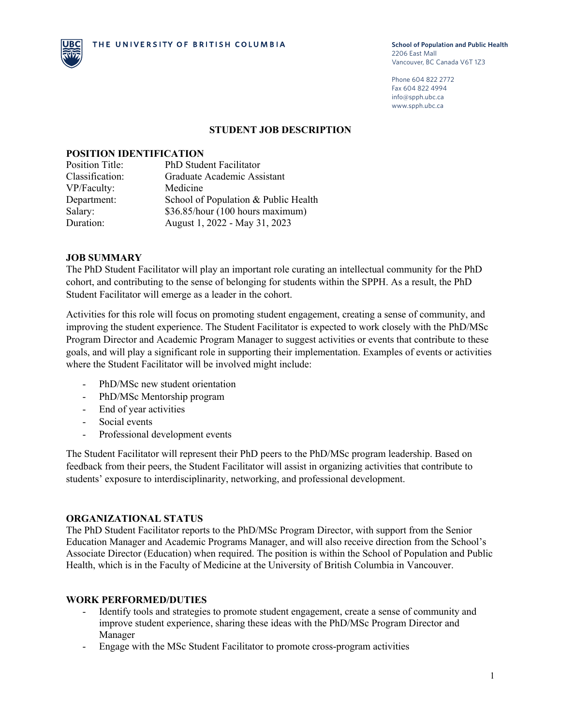

Phone 604 822 2772 Fax 604 822 4994 info@spph.ubc.ca www.spph.ubc.ca

#### **STUDENT JOB DESCRIPTION**

### **POSITION IDENTIFICATION**

| <b>Position Title:</b> | PhD Student Facilitator              |
|------------------------|--------------------------------------|
| Classification:        | Graduate Academic Assistant          |
| VP/Faculty:            | Medicine                             |
| Department:            | School of Population & Public Health |
| Salary:                | \$36.85/hour (100 hours maximum)     |
| Duration:              | August 1, 2022 - May 31, 2023        |

### **JOB SUMMARY**

The PhD Student Facilitator will play an important role curating an intellectual community for the PhD cohort, and contributing to the sense of belonging for students within the SPPH. As a result, the PhD Student Facilitator will emerge as a leader in the cohort.

Activities for this role will focus on promoting student engagement, creating a sense of community, and improving the student experience. The Student Facilitator is expected to work closely with the PhD/MSc Program Director and Academic Program Manager to suggest activities or events that contribute to these goals, and will play a significant role in supporting their implementation. Examples of events or activities where the Student Facilitator will be involved might include:

- PhD/MSc new student orientation
- PhD/MSc Mentorship program
- End of year activities
- Social events
- Professional development events

The Student Facilitator will represent their PhD peers to the PhD/MSc program leadership. Based on feedback from their peers, the Student Facilitator will assist in organizing activities that contribute to students' exposure to interdisciplinarity, networking, and professional development.

### **ORGANIZATIONAL STATUS**

The PhD Student Facilitator reports to the PhD/MSc Program Director, with support from the Senior Education Manager and Academic Programs Manager, and will also receive direction from the School's Associate Director (Education) when required. The position is within the School of Population and Public Health, which is in the Faculty of Medicine at the University of British Columbia in Vancouver.

### **WORK PERFORMED/DUTIES**

- Identify tools and strategies to promote student engagement, create a sense of community and improve student experience, sharing these ideas with the PhD/MSc Program Director and Manager
- Engage with the MSc Student Facilitator to promote cross-program activities